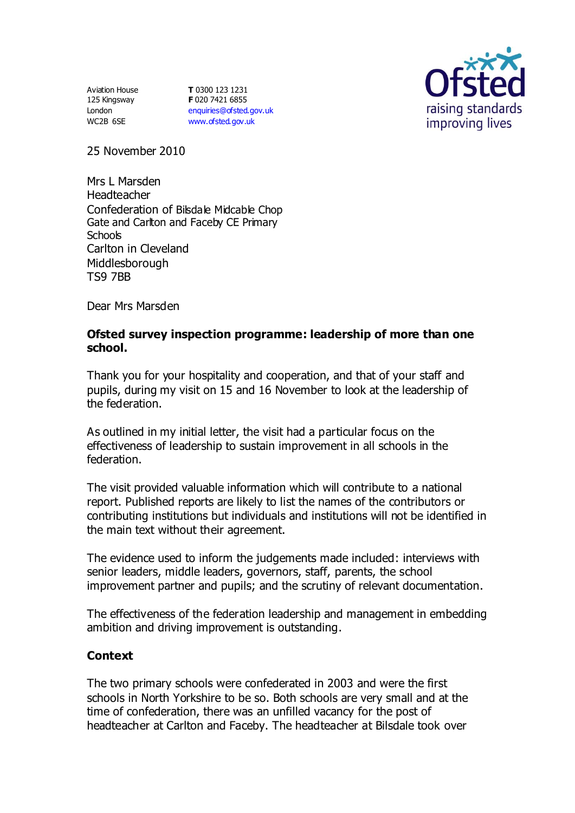Aviation House 125 Kingsway London WC2B 6SE

**T** 0300 123 1231 **F** 020 7421 6855 [enquiries@ofsted.gov.uk](mailto:enquiries@ofsted.gov.uk) [www.ofsted.gov.uk](http://www.ofsted.gov.uk/)



25 November 2010

Mrs L Marsden Headteacher Confederation of Bilsdale Midcable Chop Gate and Carlton and Faceby CE Primary **Schools** Carlton in Cleveland Middlesborough TS9 7BB

Dear Mrs Marsden

#### **Ofsted survey inspection programme: leadership of more than one school.**

Thank you for your hospitality and cooperation, and that of your staff and pupils, during my visit on 15 and 16 November to look at the leadership of the federation.

As outlined in my initial letter, the visit had a particular focus on the effectiveness of leadership to sustain improvement in all schools in the federation.

The visit provided valuable information which will contribute to a national report. Published reports are likely to list the names of the contributors or contributing institutions but individuals and institutions will not be identified in the main text without their agreement.

The evidence used to inform the judgements made included: interviews with senior leaders, middle leaders, governors, staff, parents, the school improvement partner and pupils; and the scrutiny of relevant documentation.

The effectiveness of the federation leadership and management in embedding ambition and driving improvement is outstanding.

## **Context**

The two primary schools were confederated in 2003 and were the first schools in North Yorkshire to be so. Both schools are very small and at the time of confederation, there was an unfilled vacancy for the post of headteacher at Carlton and Faceby. The headteacher at Bilsdale took over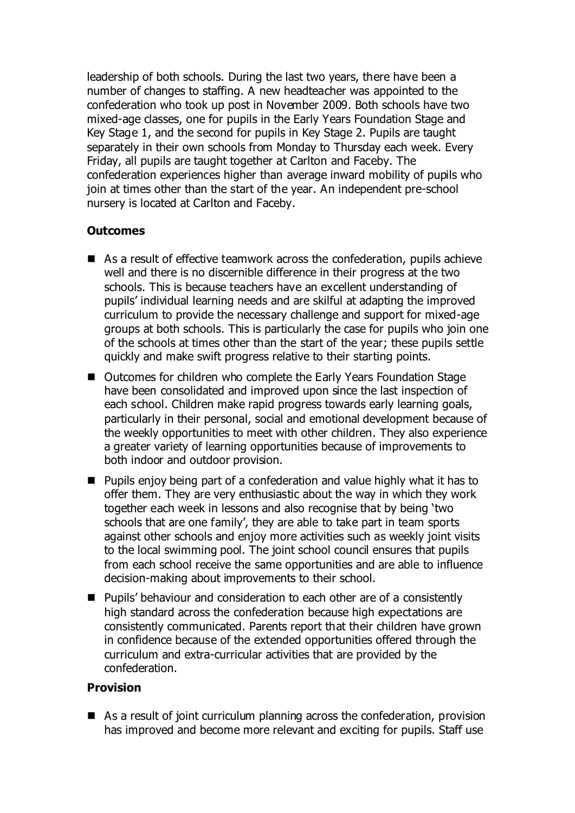leadership of both schools. During the last two years, there have been a number of changes to staffing. A new headteacher was appointed to the confederation who took up post in November 2009. Both schools have two mixed-age classes, one for pupils in the Early Years Foundation Stage and Key Stage 1, and the second for pupils in Key Stage 2. Pupils are taught separately in their own schools from Monday to Thursday each week. Every Friday, all pupils are taught together at Carlton and Faceby. The confederation experiences higher than average inward mobility of pupils who join at times other than the start of the year. An independent pre-school nursery is located at Carlton and Faceby.

# **Outcomes**

- As a result of effective teamwork across the confederation, pupils achieve well and there is no discernible difference in their progress at the two schools. This is because teachers have an excellent understanding of pupils' individual learning needs and are skilful at adapting the improved curriculum to provide the necessary challenge and support for mixed-age groups at both schools. This is particularly the case for pupils who join one of the schools at times other than the start of the year; these pupils settle quickly and make swift progress relative to their starting points.
- Outcomes for children who complete the Early Years Foundation Stage have been consolidated and improved upon since the last inspection of each school. Children make rapid progress towards early learning goals, particularly in their personal, social and emotional development because of the weekly opportunities to meet with other children. They also experience a greater variety of learning opportunities because of improvements to both indoor and outdoor provision.
- **Pupils enjoy being part of a confederation and value highly what it has to** offer them. They are very enthusiastic about the way in which they work together each week in lessons and also recognise that by being 'two schools that are one family', they are able to take part in team sports against other schools and enjoy more activities such as weekly joint visits to the local swimming pool. The joint school council ensures that pupils from each school receive the same opportunities and are able to influence decision-making about improvements to their school.
- Pupils' behaviour and consideration to each other are of a consistently high standard across the confederation because high expectations are consistently communicated. Parents report that their children have grown in confidence because of the extended opportunities offered through the curriculum and extra-curricular activities that are provided by the confederation.

# **Provision**

■ As a result of joint curriculum planning across the confederation, provision has improved and become more relevant and exciting for pupils. Staff use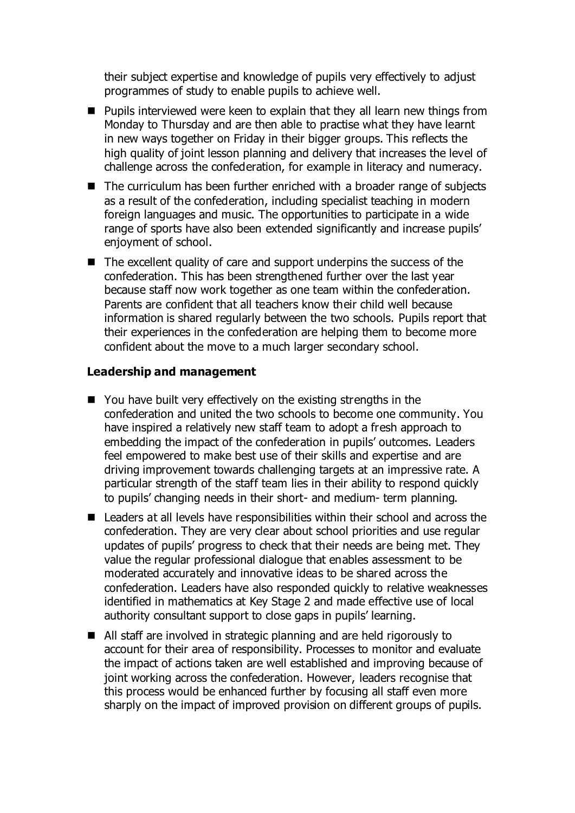their subject expertise and knowledge of pupils very effectively to adjust programmes of study to enable pupils to achieve well.

- **Pupils interviewed were keen to explain that they all learn new things from** Monday to Thursday and are then able to practise what they have learnt in new ways together on Friday in their bigger groups. This reflects the high quality of joint lesson planning and delivery that increases the level of challenge across the confederation, for example in literacy and numeracy.
- The curriculum has been further enriched with a broader range of subjects as a result of the confederation, including specialist teaching in modern foreign languages and music. The opportunities to participate in a wide range of sports have also been extended significantly and increase pupils' enjoyment of school.
- The excellent quality of care and support underpins the success of the confederation. This has been strengthened further over the last year because staff now work together as one team within the confederation. Parents are confident that all teachers know their child well because information is shared regularly between the two schools. Pupils report that their experiences in the confederation are helping them to become more confident about the move to a much larger secondary school.

#### **Leadership and management**

- You have built very effectively on the existing strengths in the confederation and united the two schools to become one community. You have inspired a relatively new staff team to adopt a fresh approach to embedding the impact of the confederation in pupils' outcomes. Leaders feel empowered to make best use of their skills and expertise and are driving improvement towards challenging targets at an impressive rate. A particular strength of the staff team lies in their ability to respond quickly to pupils' changing needs in their short- and medium- term planning.
- Leaders at all levels have responsibilities within their school and across the confederation. They are very clear about school priorities and use regular updates of pupils' progress to check that their needs are being met. They value the regular professional dialogue that enables assessment to be moderated accurately and innovative ideas to be shared across the confederation. Leaders have also responded quickly to relative weaknesses identified in mathematics at Key Stage 2 and made effective use of local authority consultant support to close gaps in pupils' learning.
- All staff are involved in strategic planning and are held rigorously to account for their area of responsibility. Processes to monitor and evaluate the impact of actions taken are well established and improving because of joint working across the confederation. However, leaders recognise that this process would be enhanced further by focusing all staff even more sharply on the impact of improved provision on different groups of pupils.